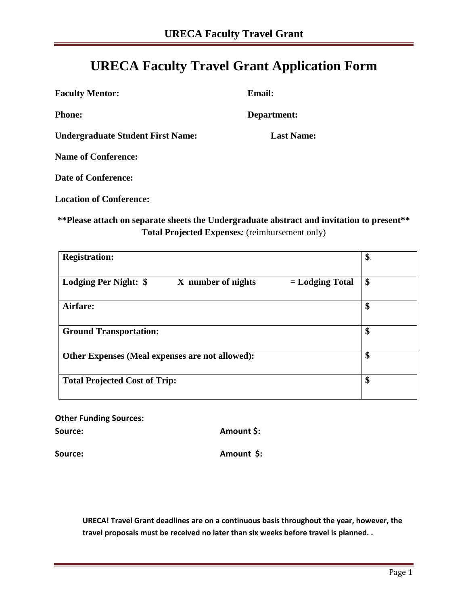## **URECA Faculty Travel Grant Application Form**

| <b>Faculty Mentor:</b>                   | <b>Email:</b>     |
|------------------------------------------|-------------------|
| <b>Phone:</b>                            | Department:       |
| <b>Undergraduate Student First Name:</b> | <b>Last Name:</b> |
| <b>Name of Conference:</b>               |                   |
| <b>Date of Conference:</b>               |                   |

**Location of Conference:** 

## **\*\*Please attach on separate sheets the Undergraduate abstract and invitation to present\*\* Total Projected Expenses***:* (reimbursement only)

| <b>Registration:</b>                                             | \$. |
|------------------------------------------------------------------|-----|
| Lodging Per Night: \$<br>X number of nights<br>$=$ Lodging Total | \$  |
| Airfare:                                                         | \$  |
| <b>Ground Transportation:</b>                                    | \$  |
| Other Expenses (Meal expenses are not allowed):                  | \$  |
| <b>Total Projected Cost of Trip:</b>                             | \$  |

**Other Funding Sources:**

Source: **Amount \$: Amount \$:** 

Source: Amount \$:

**URECA! Travel Grant deadlines are on a continuous basis throughout the year, however, the travel proposals must be received no later than six weeks before travel is planned. .**